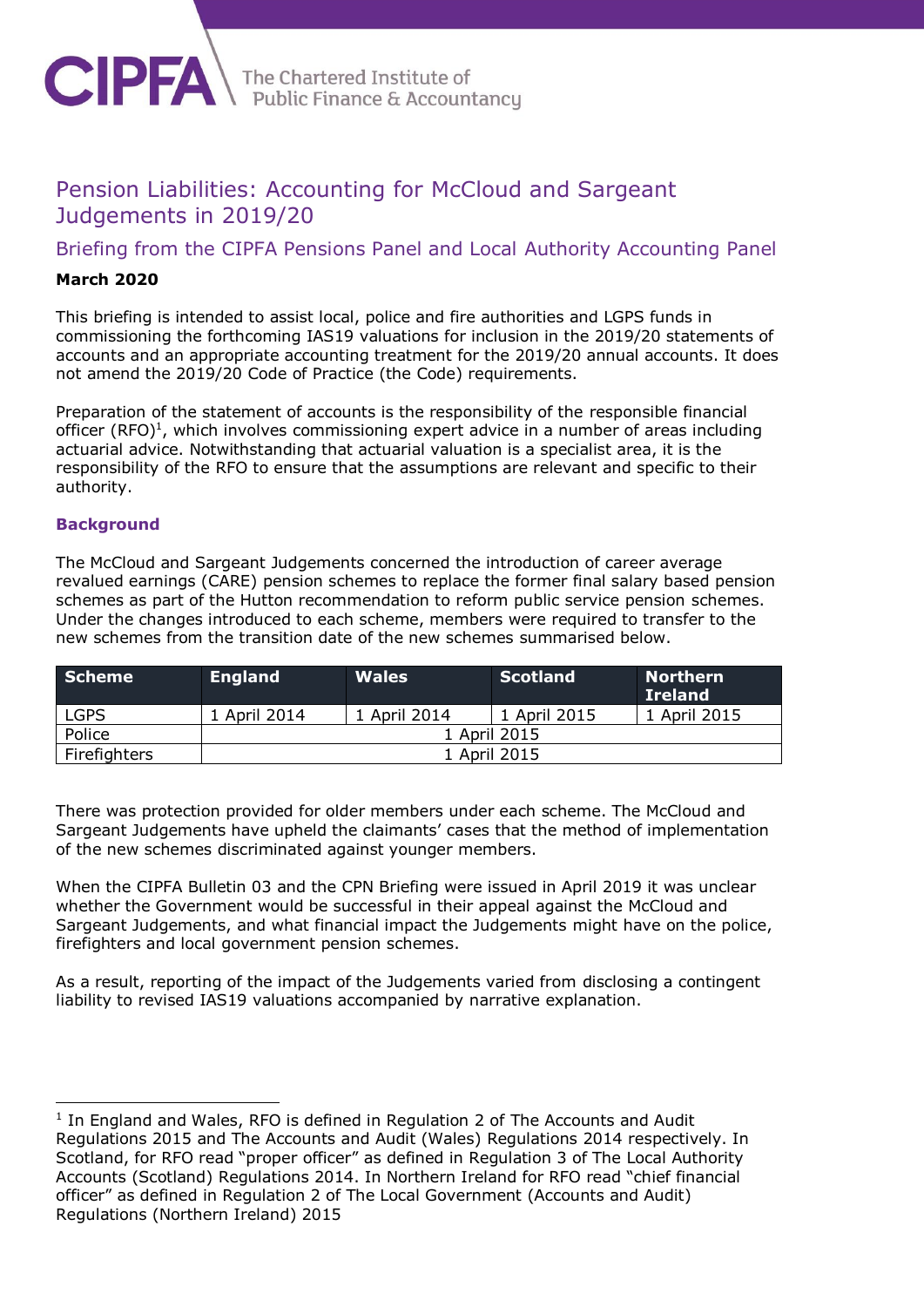

The Chartered Institute of<br>Public Finance & Accountancy

# Pension Liabilities: Accounting for McCloud and Sargeant Judgements in 2019/20

Briefing from the CIPFA Pensions Panel and Local Authority Accounting Panel

# **March 2020**

This briefing is intended to assist local, police and fire authorities and LGPS funds in commissioning the forthcoming IAS19 valuations for inclusion in the 2019/20 statements of accounts and an appropriate accounting treatment for the 2019/20 annual accounts. It does not amend the 2019/20 Code of Practice (the Code) requirements.

Preparation of the statement of accounts is the responsibility of the responsible financial officer  $(RFO)^1$ , which involves commissioning expert advice in a number of areas including actuarial advice. Notwithstanding that actuarial valuation is a specialist area, it is the responsibility of the RFO to ensure that the assumptions are relevant and specific to their authority.

## **Background**

-

The McCloud and Sargeant Judgements concerned the introduction of career average revalued earnings (CARE) pension schemes to replace the former final salary based pension schemes as part of the Hutton recommendation to reform public service pension schemes. Under the changes introduced to each scheme, members were required to transfer to the new schemes from the transition date of the new schemes summarised below.

| <b>Scheme</b> | <b>England</b> | <b>Wales</b> | <b>Scotland</b> | <b>Northern</b><br><b>Ireland</b> |  |
|---------------|----------------|--------------|-----------------|-----------------------------------|--|
| <b>LGPS</b>   | 1 April 2014   | 1 April 2014 | 1 April 2015    | 1 April 2015                      |  |
| Police        | 1 April 2015   |              |                 |                                   |  |
| Firefighters  | 1 April 2015   |              |                 |                                   |  |

There was protection provided for older members under each scheme. The McCloud and Sargeant Judgements have upheld the claimants' cases that the method of implementation of the new schemes discriminated against younger members.

When the CIPFA Bulletin 03 and the CPN Briefing were issued in April 2019 it was unclear whether the Government would be successful in their appeal against the McCloud and Sargeant Judgements, and what financial impact the Judgements might have on the police, firefighters and local government pension schemes.

As a result, reporting of the impact of the Judgements varied from disclosing a contingent liability to revised IAS19 valuations accompanied by narrative explanation.

 $<sup>1</sup>$  In England and Wales, RFO is defined in Regulation 2 of The Accounts and Audit</sup> Regulations 2015 and The Accounts and Audit (Wales) Regulations 2014 respectively. In Scotland, for RFO read "proper officer" as defined in Regulation 3 of The Local Authority Accounts (Scotland) Regulations 2014. In Northern Ireland for RFO read "chief financial officer" as defined in Regulation 2 of The Local Government (Accounts and Audit) Regulations (Northern Ireland) 2015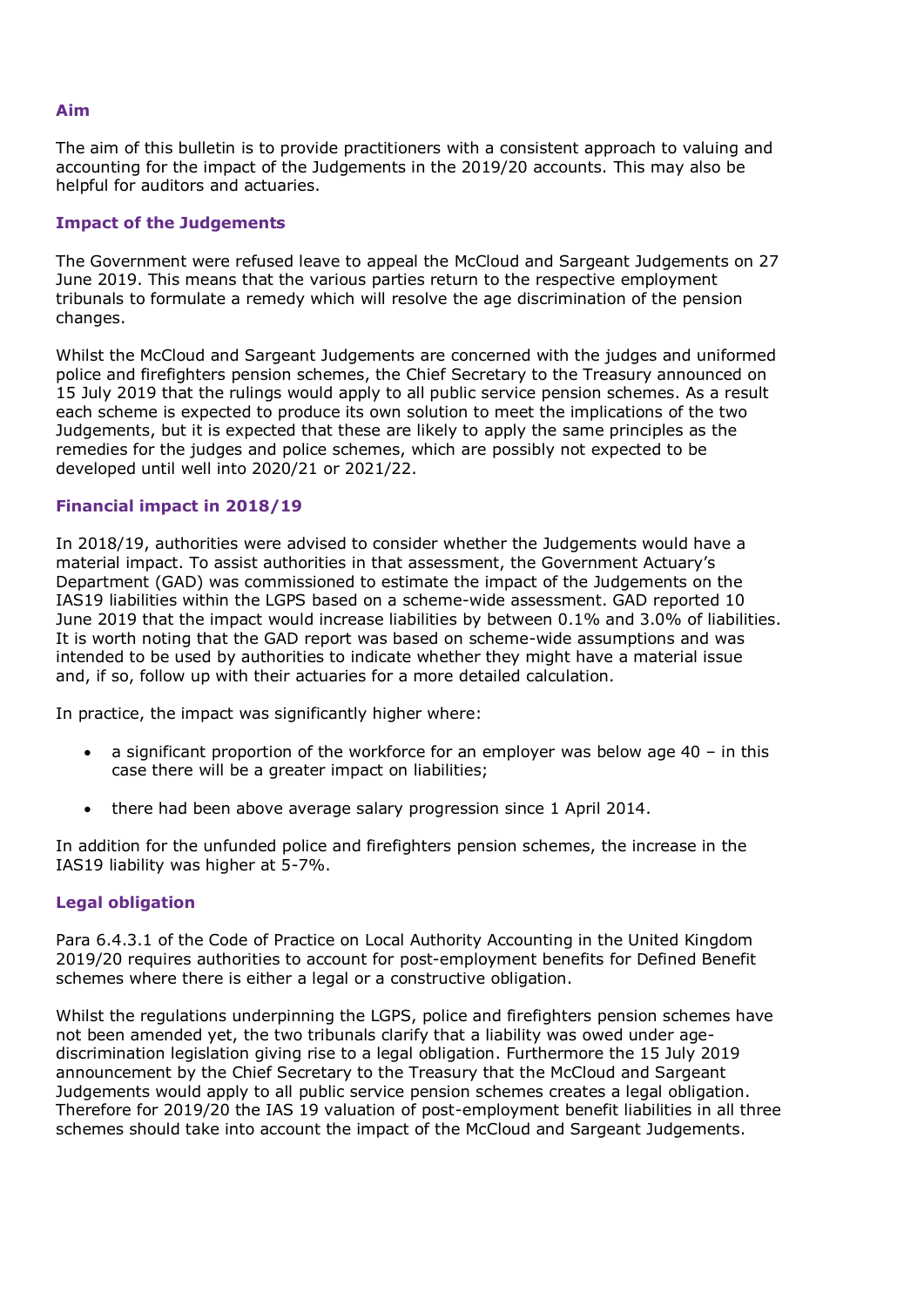#### **Aim**

The aim of this bulletin is to provide practitioners with a consistent approach to valuing and accounting for the impact of the Judgements in the 2019/20 accounts. This may also be helpful for auditors and actuaries.

#### **Impact of the Judgements**

The Government were refused leave to appeal the McCloud and Sargeant Judgements on 27 June 2019. This means that the various parties return to the respective employment tribunals to formulate a remedy which will resolve the age discrimination of the pension changes.

Whilst the McCloud and Sargeant Judgements are concerned with the judges and uniformed police and firefighters pension schemes, the Chief Secretary to the Treasury announced on 15 July 2019 that the rulings would apply to all public service pension schemes. As a result each scheme is expected to produce its own solution to meet the implications of the two Judgements, but it is expected that these are likely to apply the same principles as the remedies for the judges and police schemes, which are possibly not expected to be developed until well into 2020/21 or 2021/22.

## **Financial impact in 2018/19**

In 2018/19, authorities were advised to consider whether the Judgements would have a material impact. To assist authorities in that assessment, the Government Actuary's Department (GAD) was commissioned to estimate the impact of the Judgements on the IAS19 liabilities within the LGPS based on a scheme-wide assessment. GAD reported 10 June 2019 that the impact would increase liabilities by between 0.1% and 3.0% of liabilities. It is worth noting that the GAD report was based on scheme-wide assumptions and was intended to be used by authorities to indicate whether they might have a material issue and, if so, follow up with their actuaries for a more detailed calculation.

In practice, the impact was significantly higher where:

- a significant proportion of the workforce for an employer was below age 40 in this case there will be a greater impact on liabilities;
- there had been above average salary progression since 1 April 2014.

In addition for the unfunded police and firefighters pension schemes, the increase in the IAS19 liability was higher at 5-7%.

## **Legal obligation**

Para 6.4.3.1 of the Code of Practice on Local Authority Accounting in the United Kingdom 2019/20 requires authorities to account for post-employment benefits for Defined Benefit schemes where there is either a legal or a constructive obligation.

Whilst the regulations underpinning the LGPS, police and firefighters pension schemes have not been amended yet, the two tribunals clarify that a liability was owed under agediscrimination legislation giving rise to a legal obligation. Furthermore the 15 July 2019 announcement by the Chief Secretary to the Treasury that the McCloud and Sargeant Judgements would apply to all public service pension schemes creates a legal obligation. Therefore for 2019/20 the IAS 19 valuation of post-employment benefit liabilities in all three schemes should take into account the impact of the McCloud and Sargeant Judgements.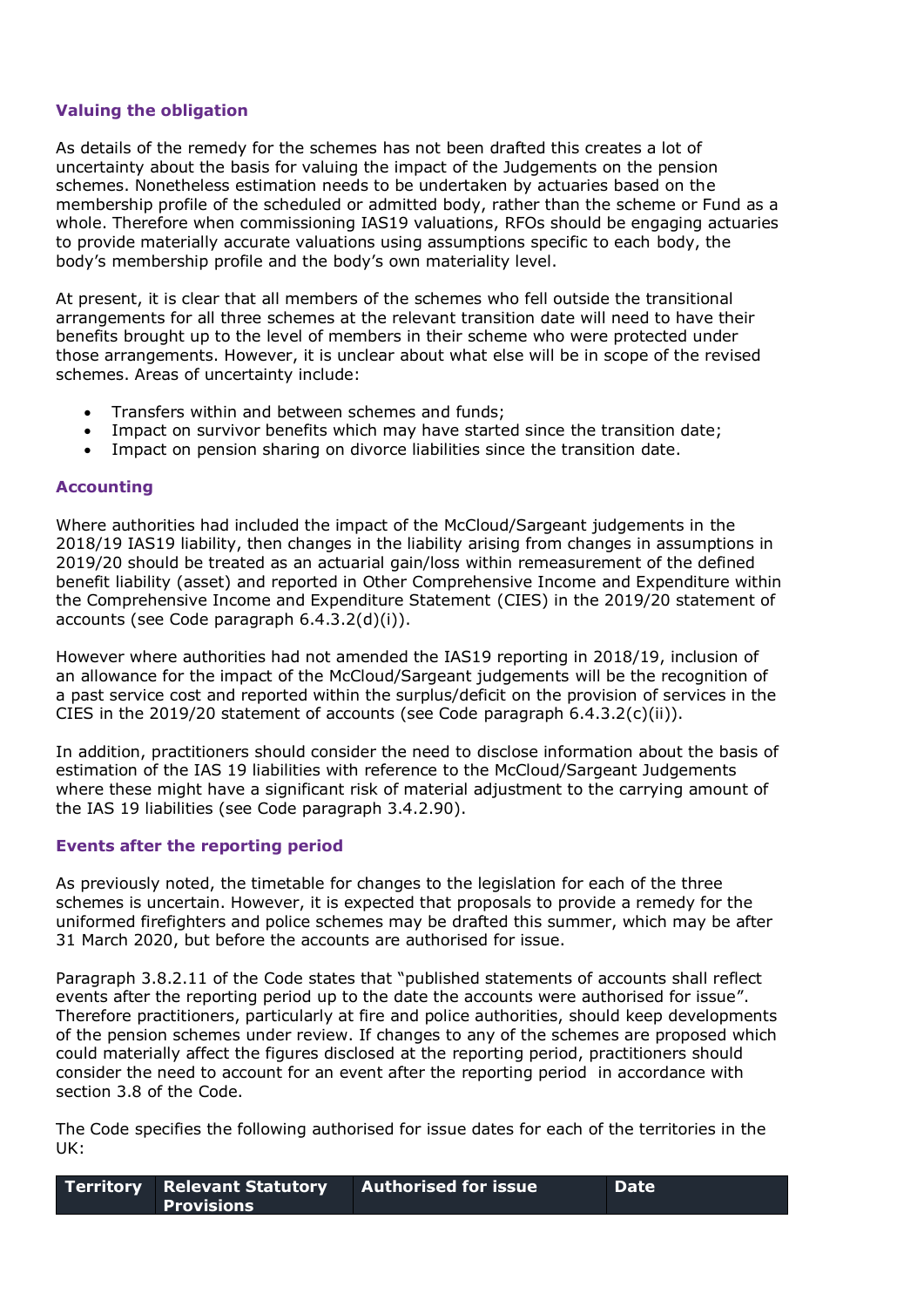#### **Valuing the obligation**

As details of the remedy for the schemes has not been drafted this creates a lot of uncertainty about the basis for valuing the impact of the Judgements on the pension schemes. Nonetheless estimation needs to be undertaken by actuaries based on the membership profile of the scheduled or admitted body, rather than the scheme or Fund as a whole. Therefore when commissioning IAS19 valuations, RFOs should be engaging actuaries to provide materially accurate valuations using assumptions specific to each body, the body's membership profile and the body's own materiality level.

At present, it is clear that all members of the schemes who fell outside the transitional arrangements for all three schemes at the relevant transition date will need to have their benefits brought up to the level of members in their scheme who were protected under those arrangements. However, it is unclear about what else will be in scope of the revised schemes. Areas of uncertainty include:

- Transfers within and between schemes and funds;
- Impact on survivor benefits which may have started since the transition date;
- Impact on pension sharing on divorce liabilities since the transition date.

#### **Accounting**

Where authorities had included the impact of the McCloud/Sargeant judgements in the 2018/19 IAS19 liability, then changes in the liability arising from changes in assumptions in 2019/20 should be treated as an actuarial gain/loss within remeasurement of the defined benefit liability (asset) and reported in Other Comprehensive Income and Expenditure within the Comprehensive Income and Expenditure Statement (CIES) in the 2019/20 statement of accounts (see Code paragraph 6.4.3.2(d)(i)).

However where authorities had not amended the IAS19 reporting in 2018/19, inclusion of an allowance for the impact of the McCloud/Sargeant judgements will be the recognition of a past service cost and reported within the surplus/deficit on the provision of services in the CIES in the 2019/20 statement of accounts (see Code paragraph  $6.4.3.2(c)(ii)$ ).

In addition, practitioners should consider the need to disclose information about the basis of estimation of the IAS 19 liabilities with reference to the McCloud/Sargeant Judgements where these might have a significant risk of material adjustment to the carrying amount of the IAS 19 liabilities (see Code paragraph 3.4.2.90).

#### **Events after the reporting period**

As previously noted, the timetable for changes to the legislation for each of the three schemes is uncertain. However, it is expected that proposals to provide a remedy for the uniformed firefighters and police schemes may be drafted this summer, which may be after 31 March 2020, but before the accounts are authorised for issue.

Paragraph 3.8.2.11 of the Code states that "published statements of accounts shall reflect events after the reporting period up to the date the accounts were authorised for issue". Therefore practitioners, particularly at fire and police authorities, should keep developments of the pension schemes under review. If changes to any of the schemes are proposed which could materially affect the figures disclosed at the reporting period, practitioners should consider the need to account for an event after the reporting period in accordance with section 3.8 of the Code.

The Code specifies the following authorised for issue dates for each of the territories in the UK:

| <b>Territory Relevant Statutory</b> | $\blacksquare$ Authorised for issue $\blacksquare$ | <b>L</b> Date |
|-------------------------------------|----------------------------------------------------|---------------|
| <b>Provisions</b>                   |                                                    |               |